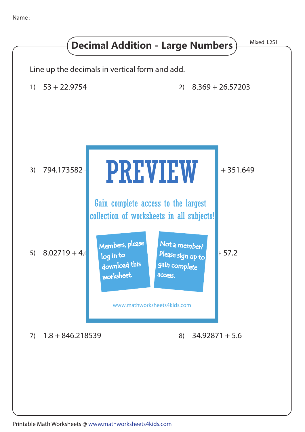